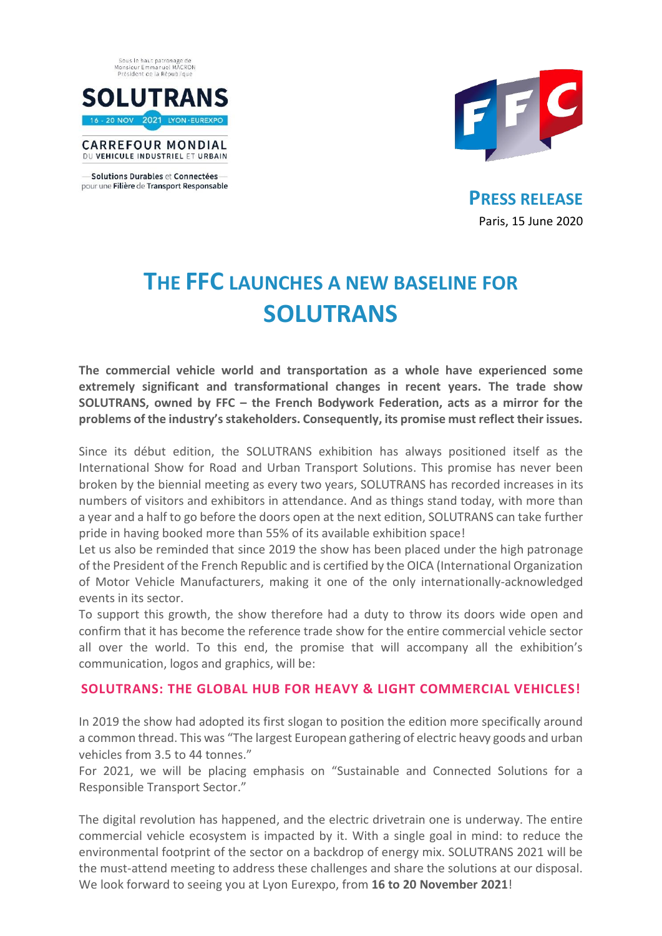



**CARREFOUR MONDIAL** DU VEHICULE INDUSTRIEL ET URBAIN

Solutions Durables et Connectées pour une Filière de Transport Responsable



**PRESS RELEASE** Paris, 15 June 2020

# **THE FFC LAUNCHES A NEW BASELINE FOR SOLUTRANS**

**The commercial vehicle world and transportation as a whole have experienced some extremely significant and transformational changes in recent years. The trade show SOLUTRANS, owned by FFC – the French Bodywork Federation, acts as a mirror for the problems of the industry's stakeholders. Consequently, its promise must reflect their issues.** 

Since its début edition, the SOLUTRANS exhibition has always positioned itself as the International Show for Road and Urban Transport Solutions. This promise has never been broken by the biennial meeting as every two years, SOLUTRANS has recorded increases in its numbers of visitors and exhibitors in attendance. And as things stand today, with more than a year and a half to go before the doors open at the next edition, SOLUTRANS can take further pride in having booked more than 55% of its available exhibition space!

Let us also be reminded that since 2019 the show has been placed under the high patronage of the President of the French Republic and is certified by the OICA (International Organization of Motor Vehicle Manufacturers, making it one of the only internationally-acknowledged events in its sector.

To support this growth, the show therefore had a duty to throw its doors wide open and confirm that it has become the reference trade show for the entire commercial vehicle sector all over the world. To this end, the promise that will accompany all the exhibition's communication, logos and graphics, will be:

# **SOLUTRANS: THE GLOBAL HUB FOR HEAVY & LIGHT COMMERCIAL VEHICLES!**

In 2019 the show had adopted its first slogan to position the edition more specifically around a common thread. This was "The largest European gathering of electric heavy goods and urban vehicles from 3.5 to 44 tonnes."

For 2021, we will be placing emphasis on "Sustainable and Connected Solutions for a Responsible Transport Sector."

The digital revolution has happened, and the electric drivetrain one is underway. The entire commercial vehicle ecosystem is impacted by it. With a single goal in mind: to reduce the environmental footprint of the sector on a backdrop of energy mix. SOLUTRANS 2021 will be the must-attend meeting to address these challenges and share the solutions at our disposal. We look forward to seeing you at Lyon Eurexpo, from **16 to 20 November 2021**!